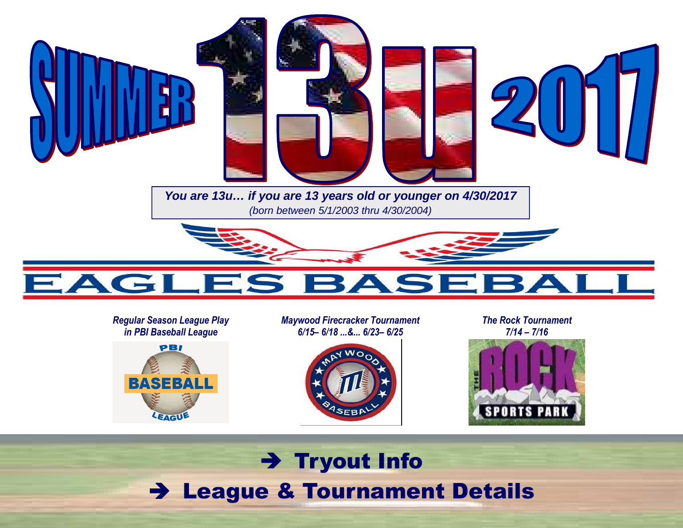

#### *Regular Season League Play in PBI Baseball League*



*Maywood Firecracker Tournament 6/15– 6/18 ...&... 6/23– 6/25* 



*The Rock Tournament 7/14 – 7/16* 



## → Tryout Info<br>a º Teurnamer League & Tournament Details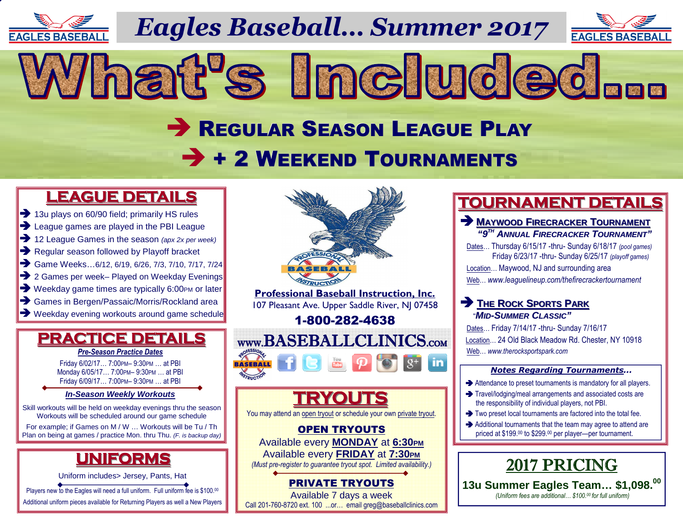

*Eagles Baseball… Summer 2017*

What's Included...



# REGULAR SEASON LEAGUE PLAY  $\rightarrow$  + 2 WEEKEND TOURNAMENTS

## **LEAGUE DETAILS**

- 13u plays on 60/90 field: primarily HS ru → 13u plays on 60/90 field; primarily HS rules<br>→ League games are played in the PBI Leagu
- 
- → League games are played in the PBI League<br>→ 12 League Games in the season (apx 2x per week)<br>→ Regular season followed by Playoff bracket
- Regular season followed by Playoff bracket Regular season followed by Playoff bracket<br>
Same Weeks...6/12. 6/19. 6/26. 7/3. 7/10. 7/17
- Game Weeks...6/12, 6/19, 6/26, 7/3, 7/10, 7/17, 7/24<br>
2 Games per week- Played on Weekday Evenings
- → 2 Games per week– Played on Weekday Evenings<br>→ Weekday game times are typically 6:00PM or later
- → Weekday game times are typically 6:00PM or later<br>→ Games in Bergen/Passaic/Morris/Rockland area
- 
- → Games in Bergen/Passaic/Morris/Rockland area<br>→ Weekday evening workouts around game schedule

#### **PRACTICE DETAILS***Pre-Season Practice Dates*

Friday 6/02/17… 7:00PM– 9:30PM … at PBI Monday 6/05/17… 7:00PM– 9:30PM … at PBI Friday 6/09/17… 7:00PM– 9:30PM … at PBI

#### **In-Season Weekly Workouts**

Skill workouts will be held on weekday evenings thru the season Workouts will be scheduled around our game schedule

 For example; if Games on M / W … Workouts will be Tu / Th Plan on being at games / practice Mon. thru Thu. (F. is backup day)

## **UNIFORMS**

Uniform includes> Jersey, Pants, Hat

Players new to the Eagles will need a full uniform. Full uniform fee is \$100.00

Additional uniform pieces available for Returning Players as well a New Players



 Available every **MONDAY** at **6:30PM** Available every **FRIDAY** at **7:30PM** *(Must pre-register to guarantee tryout spot. Limited availability.)* 

## PRIVATE TRYOUTS

 Available 7 days a weekCall 201-760-8720 ext. 100 ...or… email greg@baseballclinics.com

## **TOURNAMENT DETAILS**

### **MAYWOOD <sup>F</sup>IRECRACKER <sup>T</sup>OURNAMENT "9TH ANNUAL <sup>F</sup>IRECRACKER <sup>T</sup>OURNAMENT"**

 Dates… Thursday 6/15/17 -thru- Sunday 6/18/17 *(pool games)*  Friday 6/23/17 -thru- Sunday 6/25/17 *(playoff games)* Location… Maywood, NJ and surrounding areaWeb… *www.leaguelineup.com/thefirecrackertournament*

### **P** THE ROCK SPORTS PARK "**MID-SUMMER <sup>C</sup>LASSIC"**

 Dates… Friday 7/14/17 -thru- Sunday 7/16/17 Location… 24 Old Black Meadow Rd. Chester, NY 10918 Web… *www.therocksportspark.com*

#### *Notes Regarding Tournaments...*

- Attendance to preset tournaments is mandatory for all players.<br>A Travelledginalmeal arrangements and accepted agate are
- $\rightarrow$  Travel/lodging/meal arrangements and associated costs are the responsibility of individual players, not PBI. the responsibility of individual players, not PBI.
- $\rightarrow$  Two preset local tournaments are factored into the total fee.<br>Additional tournaments that the team may earne to ottend a
- Additional tournaments that the team may agree to attend are<br>priced at \$199.00 to \$299.00 per player—per tournament. priced at \$199.00 to \$299.00 per player—per tournament.



 **13u Summer Eagles Team… \$1,098.<sup>00</sup>**  *(Uniform fees are additional… \$100.00 for full uniform)*